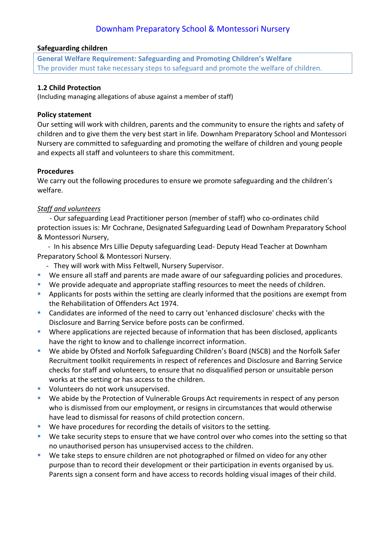#### **Safeguarding children**

**General Welfare Requirement: Safeguarding and Promoting Children's Welfare** The provider must take necessary steps to safeguard and promote the welfare of children.

### **1.2 Child Protection**

(Including managing allegations of abuse against a member of staff)

### **Policy statement**

Our setting will work with children, parents and the community to ensure the rights and safety of children and to give them the very best start in life. Downham Preparatory School and Montessori Nursery are committed to safeguarding and promoting the welfare of children and young people and expects all staff and volunteers to share this commitment.

#### **Procedures**

We carry out the following procedures to ensure we promote safeguarding and the children's welfare.

## *Staff and volunteers*

 - Our safeguarding Lead Practitioner person (member of staff) who co-ordinates child protection issues is: Mr Cochrane, Designated Safeguarding Lead of Downham Preparatory School & Montessori Nursery,

 - In his absence Mrs Lillie Deputy safeguarding Lead- Deputy Head Teacher at Downham Preparatory School & Montessori Nursery.

- They will work with Miss Feltwell, Nursery Supervisor.
- We ensure all staff and parents are made aware of our safeguarding policies and procedures.
- We provide adequate and appropriate staffing resources to meet the needs of children.
- **Applicants for posts within the setting are clearly informed that the positions are exempt from** the Rehabilitation of Offenders Act 1974.
- Candidates are informed of the need to carry out 'enhanced disclosure' checks with the Disclosure and Barring Service before posts can be confirmed.
- Where applications are rejected because of information that has been disclosed, applicants have the right to know and to challenge incorrect information.
- We abide by Ofsted and Norfolk Safeguarding Children's Board (NSCB) and the Norfolk Safer Recruitment toolkit requirements in respect of references and Disclosure and Barring Service checks for staff and volunteers, to ensure that no disqualified person or unsuitable person works at the setting or has access to the children.
- **Volunteers do not work unsupervised.**
- We abide by the Protection of Vulnerable Groups Act requirements in respect of any person who is dismissed from our employment, or resigns in circumstances that would otherwise have lead to dismissal for reasons of child protection concern.
- We have procedures for recording the details of visitors to the setting.
- We take security steps to ensure that we have control over who comes into the setting so that no unauthorised person has unsupervised access to the children.
- **We take steps to ensure children are not photographed or filmed on video for any other** purpose than to record their development or their participation in events organised by us. Parents sign a consent form and have access to records holding visual images of their child.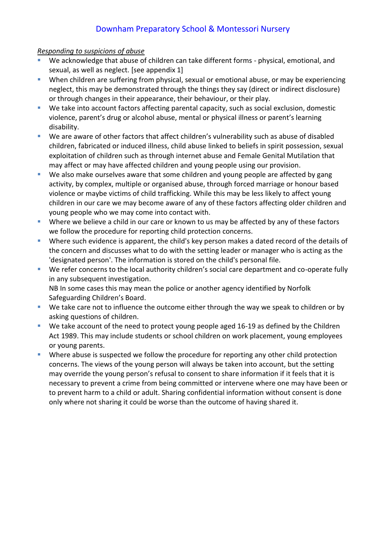### *Responding to suspicions of abuse*

- We acknowledge that abuse of children can take different forms physical, emotional, and sexual, as well as neglect. [see appendix 1]
- When children are suffering from physical, sexual or emotional abuse, or may be experiencing neglect, this may be demonstrated through the things they say (direct or indirect disclosure) or through changes in their appearance, their behaviour, or their play.
- We take into account factors affecting parental capacity, such as social exclusion, domestic violence, parent's drug or alcohol abuse, mental or physical illness or parent's learning disability.
- We are aware of other factors that affect children's vulnerability such as abuse of disabled children, fabricated or induced illness, child abuse linked to beliefs in spirit possession, sexual exploitation of children such as through internet abuse and Female Genital Mutilation that may affect or may have affected children and young people using our provision.
- **We also make ourselves aware that some children and young people are affected by gang** activity, by complex, multiple or organised abuse, through forced marriage or honour based violence or maybe victims of child trafficking. While this may be less likely to affect young children in our care we may become aware of any of these factors affecting older children and young people who we may come into contact with.
- **Where we believe a child in our care or known to us may be affected by any of these factors** we follow the procedure for reporting child protection concerns.
- Where such evidence is apparent, the child's key person makes a dated record of the details of the concern and discusses what to do with the setting leader or manager who is acting as the 'designated person'. The information is stored on the child's personal file.
- We refer concerns to the local authority children's social care department and co-operate fully in any subsequent investigation. NB In some cases this may mean the police or another agency identified by Norfolk Safeguarding Children's Board.
- We take care not to influence the outcome either through the way we speak to children or by asking questions of children.
- We take account of the need to protect young people aged 16-19 as defined by the Children Act 1989. This may include students or school children on work placement, young employees or young parents.
- **•** Where abuse is suspected we follow the procedure for reporting any other child protection concerns. The views of the young person will always be taken into account, but the setting may override the young person's refusal to consent to share information if it feels that it is necessary to prevent a crime from being committed or intervene where one may have been or to prevent harm to a child or adult. Sharing confidential information without consent is done only where not sharing it could be worse than the outcome of having shared it.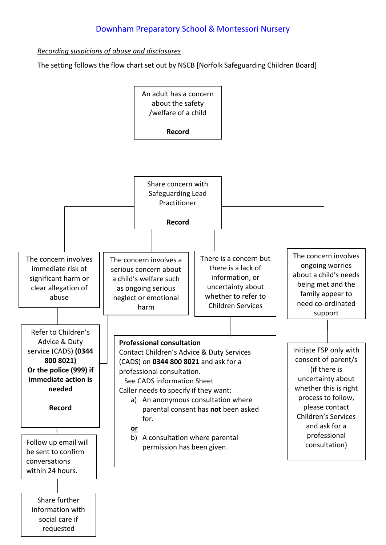*Recording suspicions of abuse and disclosures*

The setting follows the flow chart set out by NSCB [Norfolk Safeguarding Children Board]

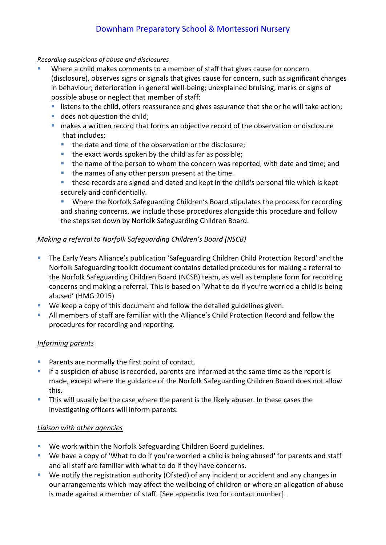### *Recording suspicions of abuse and disclosures*

- Where a child makes comments to a member of staff that gives cause for concern (disclosure), observes signs or signals that gives cause for concern, such as significant changes in behaviour; deterioration in general well-being; unexplained bruising, marks or signs of possible abuse or neglect that member of staff:
	- **If also is the child, offers reassurance and gives assurance that she or he will take action;**
	- **does not question the child;**
	- makes a written record that forms an objective record of the observation or disclosure that includes:
		- the date and time of the observation or the disclosure;
		- $\blacksquare$  the exact words spoken by the child as far as possible;
		- **the name of the person to whom the concern was reported, with date and time; and**
		- the names of any other person present at the time.
		- these records are signed and dated and kept in the child's personal file which is kept securely and confidentially.

 Where the Norfolk Safeguarding Children's Board stipulates the process for recording and sharing concerns, we include those procedures alongside this procedure and follow the steps set down by Norfolk Safeguarding Children Board.

## *Making a referral to Norfolk Safeguarding Children's Board (NSCB)*

- **The Early Years Alliance's publication 'Safeguarding Children Child Protection Record' and the** Norfolk Safeguarding toolkit document contains detailed procedures for making a referral to the Norfolk Safeguarding Children Board (NCSB) team, as well as template form for recording concerns and making a referral. This is based on 'What to do if you're worried a child is being abused' (HMG 2015)
- We keep a copy of this document and follow the detailed guidelines given.
- All members of staff are familiar with the Alliance's Child Protection Record and follow the procedures for recording and reporting.

## *Informing parents*

- **Parents are normally the first point of contact.**
- If a suspicion of abuse is recorded, parents are informed at the same time as the report is made, except where the guidance of the Norfolk Safeguarding Children Board does not allow this.
- This will usually be the case where the parent is the likely abuser. In these cases the investigating officers will inform parents.

## *Liaison with other agencies*

- We work within the Norfolk Safeguarding Children Board guidelines.
- We have a copy of 'What to do if you're worried a child is being abused' for parents and staff and all staff are familiar with what to do if they have concerns.
- We notify the registration authority (Ofsted) of any incident or accident and any changes in our arrangements which may affect the wellbeing of children or where an allegation of abuse is made against a member of staff. [See appendix two for contact number].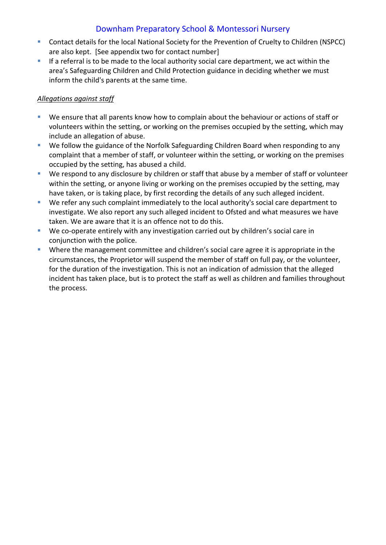- Contact details for the local National Society for the Prevention of Cruelty to Children (NSPCC) are also kept. [See appendix two for contact number]
- If a referral is to be made to the local authority social care department, we act within the area's Safeguarding Children and Child Protection guidance in deciding whether we must inform the child's parents at the same time.

## *Allegations against staff*

- We ensure that all parents know how to complain about the behaviour or actions of staff or volunteers within the setting, or working on the premises occupied by the setting, which may include an allegation of abuse.
- We follow the guidance of the Norfolk Safeguarding Children Board when responding to any complaint that a member of staff, or volunteer within the setting, or working on the premises occupied by the setting, has abused a child.
- We respond to any disclosure by children or staff that abuse by a member of staff or volunteer within the setting, or anyone living or working on the premises occupied by the setting, may have taken, or is taking place, by first recording the details of any such alleged incident.
- We refer any such complaint immediately to the local authority's social care department to investigate. We also report any such alleged incident to Ofsted and what measures we have taken. We are aware that it is an offence not to do this.
- We co-operate entirely with any investigation carried out by children's social care in conjunction with the police.
- Where the management committee and children's social care agree it is appropriate in the circumstances, the Proprietor will suspend the member of staff on full pay, or the volunteer, for the duration of the investigation. This is not an indication of admission that the alleged incident has taken place, but is to protect the staff as well as children and families throughout the process.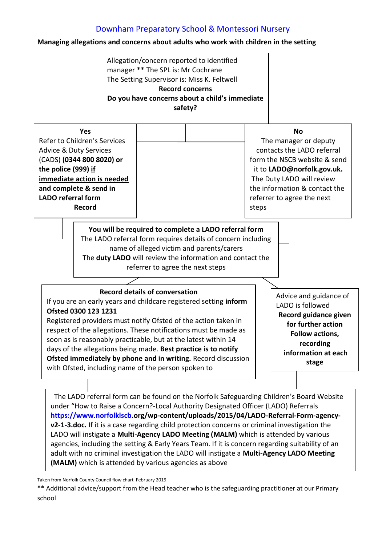### **Managing allegations and concerns about adults who work with children in the setting**



The LADO referral form can be found on the Norfolk Safeguarding Children's Board Website under "How to Raise a Concern?-Local Authority Designated Officer (LADO) Referrals **[https://www.norfolklscb.](https://www.norfolklscb/)org/wp-content/uploads/2015/04/LADO-Referral-Form-agencyv2-1-3.doc.** If it is a case regarding child protection concerns or criminal investigation the LADO will instigate a **Multi-Agency LADO Meeting (MALM)** which is attended by various agencies, including the setting & Early Years Team. If it is concern regarding suitability of an adult with no criminal investigation the LADO will instigate a **Multi-Agency LADO Meeting (MALM)** which is attended by various agencies as above

Taken from Norfolk County Council flow chart February 2019

**<sup>\*\*</sup>** Additional advice/support from the Head teacher who is the safeguarding practitioner at our Primary school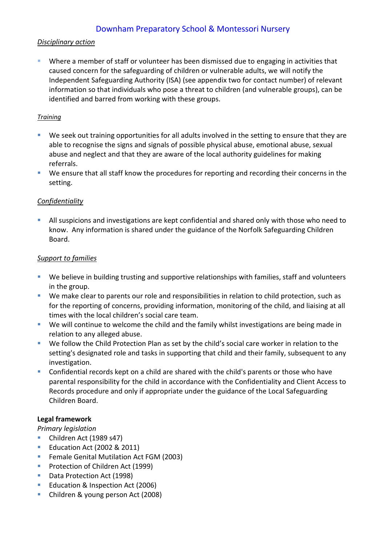### *Disciplinary action*

 Where a member of staff or volunteer has been dismissed due to engaging in activities that caused concern for the safeguarding of children or vulnerable adults, we will notify the Independent Safeguarding Authority (ISA) (see appendix two for contact number) of relevant information so that individuals who pose a threat to children (and vulnerable groups), can be identified and barred from working with these groups.

### *Training*

- We seek out training opportunities for all adults involved in the setting to ensure that they are able to recognise the signs and signals of possible physical abuse, emotional abuse, sexual abuse and neglect and that they are aware of the local authority guidelines for making referrals.
- We ensure that all staff know the procedures for reporting and recording their concerns in the setting.

## *Confidentiality*

 All suspicions and investigations are kept confidential and shared only with those who need to know. Any information is shared under the guidance of the Norfolk Safeguarding Children Board.

## *Support to families*

- We believe in building trusting and supportive relationships with families, staff and volunteers in the group.
- We make clear to parents our role and responsibilities in relation to child protection, such as for the reporting of concerns, providing information, monitoring of the child, and liaising at all times with the local children's social care team.
- We will continue to welcome the child and the family whilst investigations are being made in relation to any alleged abuse.
- We follow the Child Protection Plan as set by the child's social care worker in relation to the setting's designated role and tasks in supporting that child and their family, subsequent to any investigation.
- Confidential records kept on a child are shared with the child's parents or those who have parental responsibility for the child in accordance with the Confidentiality and Client Access to Records procedure and only if appropriate under the guidance of the Local Safeguarding Children Board.

## **Legal framework**

## *Primary legislation*

- Children Act (1989 s47)
- Education Act (2002 & 2011)
- **F** Female Genital Mutilation Act FGM (2003)
- **Protection of Children Act (1999)**
- Data Protection Act (1998)
- **Education & Inspection Act (2006)**
- **Children & young person Act (2008)**